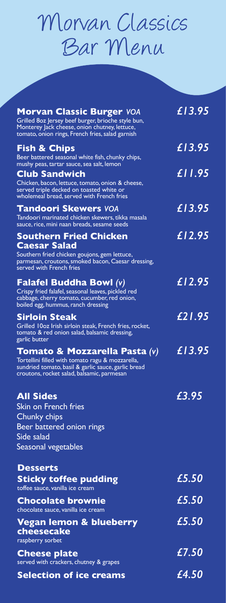## Morvan Classics Bar Menu

| <b>Morvan Classic Burger VOA</b><br>Grilled 80z Jersey beef burger, brioche style bun,<br>Monterey Jack cheese, onion chutney, lettuce,<br>tomato, onion rings, French fries, salad garnish | £13.95 |
|---------------------------------------------------------------------------------------------------------------------------------------------------------------------------------------------|--------|
| <b>Fish &amp; Chips</b><br>Beer battered seasonal white fish, chunky chips,<br>mushy peas, tartar sauce, sea salt, lemon                                                                    | £13.95 |
| <b>Club Sandwich</b><br>Chicken, bacon, lettuce, tomato, onion & cheese,<br>served triple decked on toasted white or<br>wholemeal bread, served with French fries                           | £11.95 |
| <b>Tandoori Skewers VOA</b><br>Tandoori marinated chicken skewers, tikka masala<br>sauce, rice, mini naan breads, sesame seeds                                                              | £13.95 |
| <b>Southern Fried Chicken</b><br><b>Caesar Salad</b><br>Southern fried chicken goujons, gem lettuce,<br>parmesan, croutons, smoked bacon, Caesar dressing,<br>served with French fries      | £12.95 |
| <b>Falafel Buddha Bowl (v)</b><br>Crispy fried falafel, seasonal leaves, pickled red<br>cabbage, cherry tomato, cucumber, red onion,<br>boiled egg, hummus, ranch dressing                  | £12.95 |
| <b>Sirloin Steak</b><br>Grilled 10oz Irish sirloin steak, French fries, rocket,<br>tomato & red onion salad, balsamic dressing,<br>garlic butter                                            | £21.95 |
| Tomato & Mozzarella Pasta (v)<br>Tortellini filled with tomato ragu & mozzarella,<br>sundried tomato, basil & garlic sauce, garlic bread<br>croutons, rocket salad, balsamic, parmesan      | £13.95 |
| <b>All Sides</b><br>Skin on French fries<br>Chunky chips<br><b>Beer battered onion rings</b><br>Side salad<br>Seasonal vegetables                                                           | £3.95  |
| <b>Desserts</b><br><b>Sticky toffee pudding</b><br>toffee sauce, vanilla ice cream                                                                                                          | £5.50  |
| <b>Chocolate brownie</b><br>chocolate sauce, vanilla ice cream                                                                                                                              | £5.50  |
| <b>Vegan lemon &amp; blueberry</b><br>cheesecake<br>raspberry sorbet                                                                                                                        | £5.50  |
| <b>Cheese plate</b><br>served with crackers, chutney & grapes                                                                                                                               | £7.50  |
| <b>Selection of ice creams</b>                                                                                                                                                              | £4.50  |